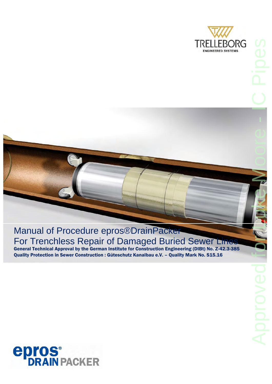



### Manual of Procedure epros®DrainPacker For Trenchless Repair of Damaged Buried Sewer Lines

General Technical Approval by the German Institute for Construction Engineering (DIBt) No. Z-42.3-385 Quality Protection in Sewer Construction : Güteschutz Kanalbau e.V. – Quality Mark No. S15.16

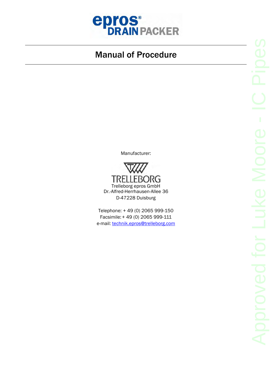

Manufacturer:



Telephone: + 49 (0) 2065 999-150 Facsimile: + 49 (0) 2065 999-111 e-mail: technik.epros@trelleborg.com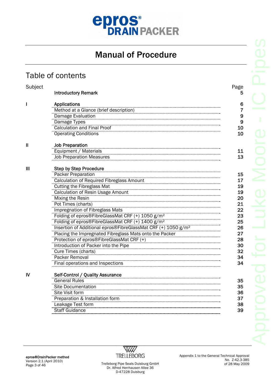

#### Table of contents

| Subject     |                                                                           | Page |
|-------------|---------------------------------------------------------------------------|------|
|             | <b>Introductory Remark</b>                                                |      |
| I           | <b>Applications</b>                                                       |      |
|             | Method at a Glance (brief description)                                    |      |
|             | Damage Evaluation                                                         |      |
|             | Damage Types                                                              |      |
|             | <b>Calculation and Final Proof</b>                                        |      |
|             | <b>Operating Conditions</b>                                               |      |
| $\mathbf l$ | <b>Job Preparation</b>                                                    |      |
|             | Equipment / Materials                                                     |      |
|             | <b>Job Preparation Measures</b>                                           |      |
| Ш           | <b>Step by Step Procedure</b>                                             |      |
|             | Packer Preparation                                                        |      |
|             | Calculation of Required Fibreglass Amount                                 |      |
|             | <b>Cutting the Fibreglass Mat</b>                                         |      |
|             | <b>Calculation of Resin Usage Amount</b>                                  |      |
|             | <b>Mixing the Resin</b>                                                   |      |
|             | Pot Times (charts)                                                        |      |
|             | Impregnation of Fibreglass Mats                                           |      |
|             | Folding of epros®FibreGlassMat CRF (+) 1050 g/m <sup>2</sup>              |      |
|             | Folding of epros®FibreGlassMat CRF (+) 1400 g/m <sup>2</sup>              |      |
|             | Insertion of Additional epros®FibreGlassMat CRF (+) 1050 g/m <sup>2</sup> |      |
|             | Placing the Impregnated Fibreglass Mats onto the Packer                   |      |
|             | Protection of epros®FibreGlassMat CRF (+)                                 |      |
|             | Introduction of Packer into the Pipe                                      |      |
|             | Cure Times (charts)                                                       |      |
|             | Packer Removal                                                            |      |
|             | Final operations and Inspections                                          |      |
| IV          | Self-Control / Quality Assurance                                          |      |
|             | <b>General Rules</b>                                                      |      |
|             | <b>Site Documentation</b>                                                 |      |
|             | Site Visit form                                                           |      |
|             | Preparation & Installation form                                           |      |
|             | Leakage Test form                                                         |      |
|             | <b>Staff Guidance</b>                                                     |      |



Dr. Alfred Herrhausen Allee 36 D-47228 Duisburg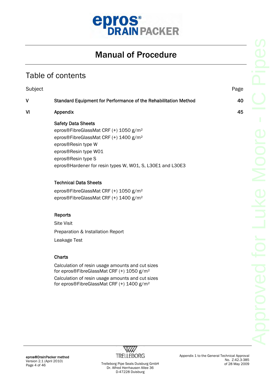

#### Table of contents

| Subject |                                                                                                                                                                                                                                                                      | Page |
|---------|----------------------------------------------------------------------------------------------------------------------------------------------------------------------------------------------------------------------------------------------------------------------|------|
| V       | Standard Equipment for Performance of the Rehabilitation Method                                                                                                                                                                                                      | 40   |
| VI      | Appendix                                                                                                                                                                                                                                                             | 45   |
|         | <b>Safety Data Sheets</b><br>epros®FibreGlassMat CRF (+) 1050 g/m <sup>2</sup><br>epros®FibreGlassMat CRF (+) 1400 g/m <sup>2</sup><br>epros®Resin type W<br>epros®Resin type W01<br>epros®Resin type S<br>epros®Hardener for resin types W, W01, S, L30E1 and L30E3 |      |
|         | <b>Technical Data Sheets</b>                                                                                                                                                                                                                                         |      |
|         | epros®FibreGlassMat CRF (+) 1050 g/m <sup>2</sup><br>epros®FibreGlassMat CRF (+) 1400 g/m <sup>2</sup>                                                                                                                                                               |      |
|         | <b>Reports</b><br><b>Site Visit</b><br>Preparation & Installation Report<br>Leakage Test                                                                                                                                                                             |      |
|         | <b>Charts</b>                                                                                                                                                                                                                                                        |      |
|         | Calculation of resin usage amounts and cut sizes<br>for epros®FibreGlassMat CRF (+) 1050 g/m <sup>2</sup>                                                                                                                                                            |      |



Calculation of resin usage amounts and cut sizes for epros®FibreGlassMat CRF (+) 1400 g/m²

No. Z-42.3-385 of 28 May 2009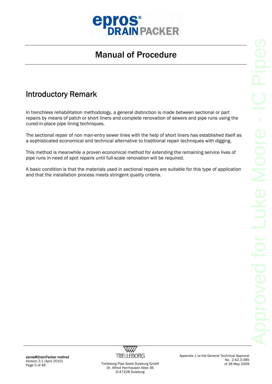

### Introductory Remark

In trenchless rehabilitation methodology, a general distinction is made between sectional or part repairs by means of patch or short liners and complete renovation of sewers and pipe runs using the cured-in-place pipe lining techniques.

The sectional repair of non man-entry sewer lines with the help of short liners has established itself as a sophisticated economical and technical alternative to traditional repair techniques with digging.

This method is meanwhile a proven economical method for extending the remaining service lives of pipe runs in need of spot repairs until full-scale renovation will be required.

A basic condition is that the materials used in sectional repairs are suitable for this type of application and that the installation process meets stringent quality criteria.

epros®DrainPacker method Version 2.1 (April 2010)



Appendix 1 to the General Technical Approval No. Z-42.3-385 of 28 May 2009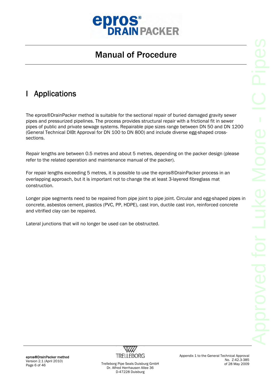

### I Applications

The epros®DrainPacker method is suitable for the sectional repair of buried damaged gravity sewer pipes and pressurized pipelines. The process provides structural repair with a frictional fit in sewer pipes of public and private sewage systems. Repairable pipe sizes range between DN 50 and DN 1200 (General Technical DIBt Approval for DN 100 to DN 800) and include diverse egg-shaped crosssections.

Repair lengths are between 0.5 metres and about 5 metres, depending on the packer design (please refer to the related operation and maintenance manual of the packer).

For repair lengths exceeding 5 metres, it is possible to use the epros®DrainPacker process in an overlapping approach, but it is important not to change the at least 3-layered fibreglass mat construction.

Longer pipe segments need to be repaired from pipe joint to pipe joint. Circular and egg-shaped pipes in concrete, asbestos cement, plastics (PVC, PP, HDPE), cast iron, ductile cast iron, reinforced concrete and vitrified clay can be repaired.

Lateral junctions that will no longer be used can be obstructed.

epros®DrainPacker method Version 2.1 (April 2010)



Appendix 1 to the General Technical Approval No. Z-42.3-385 of 28 May 2009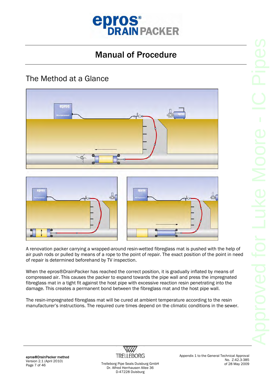

#### The Method at a Glance







A renovation packer carrying a wrapped-around resin-wetted fibreglass mat is pushed with the help of air push rods or pulled by means of a rope to the point of repair. The exact position of the point in need of repair is determined beforehand by TV inspection.

When the epros®DrainPacker has reached the correct position, it is gradually inflated by means of compressed air. This causes the packer to expand towards the pipe wall and press the impregnated fibreglass mat in a tight fit against the host pipe with excessive reaction resin penetrating into the damage. This creates a permanent bond between the fibreglass mat and the host pipe wall.

The resin-impregnated fibreglass mat will be cured at ambient temperature according to the resin manufacturer's instructions. The required cure times depend on the climatic conditions in the sewer.

epros®DrainPacker method Version 2.1 (April 2010) Page 7 of 46 Trelleborg Pipe Seals Duisburg GmbH



Dr. Alfred Herrhausen Allee 36 D-47228 Duisburg

Appendix 1 to the General Technical Approval No. Z-42.3-385 of 28 May 2009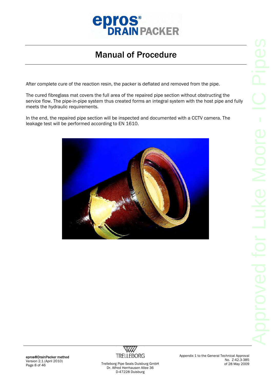

After complete cure of the reaction resin, the packer is deflated and removed from the pipe.

The cured fibreglass mat covers the full area of the repaired pipe section without obstructing the service flow. The pipe-in-pipe system thus created forms an integral system with the host pipe and fully meets the hydraulic requirements.

In the end, the repaired pipe section will be inspected and documented with a CCTV camera. The leakage test will be performed according to EN 1610.



epros®DrainPacker method Version 2.1 (April 2010)



Appendix 1 to the General Technical Approval No. Z-42.3-385 of 28 May 2009

version 2.1 (April 2010)<br>Page 8 of 46 Trelleborg Pipe Seals Duisburg GmbH Dr. Alfred Herrhausen Allee 36 D-47228 Duisburg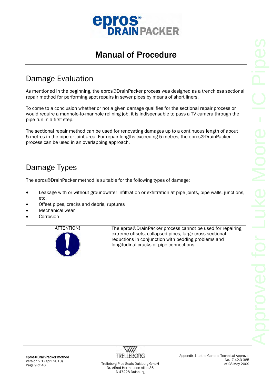

#### Damage Evaluation

As mentioned in the beginning, the epros®DrainPacker process was designed as a trenchless sectional repair method for performing spot repairs in sewer pipes by means of short liners.

To come to a conclusion whether or not a given damage qualifies for the sectional repair process or would require a manhole-to-manhole relining job, it is indispensable to pass a TV camera through the pipe run in a first step.

The sectional repair method can be used for renovating damages up to a continuous length of about 5 metres in the pipe or joint area. For repair lengths exceeding 5 metres, the epros®DrainPacker process can be used in an overlapping approach.

#### Damage Types

The epros®DrainPacker method is suitable for the following types of damage:

- Leakage with or without groundwater infiltration or exfiltration at pipe joints, pipe walls, junctions, etc.
- Offset pipes, cracks and debris, ruptures
- Mechanical wear
- **Corrosion**

| ATTENTION! | The epros®DrainPacker process cannot be used for repairing |
|------------|------------------------------------------------------------|
|            | extreme offsets, collapsed pipes, large cross-sectional    |
|            | reductions in conjunction with bedding problems and        |
|            | longitudinal cracks of pipe connections.                   |
|            |                                                            |

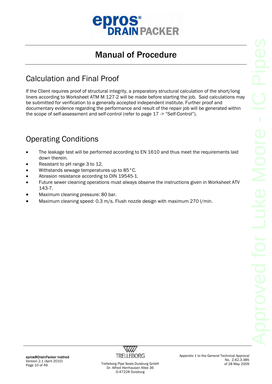

### Calculation and Final Proof

If the Client requires proof of structural integrity, a preparatory structural calculation of the short/long liners according to Worksheet ATM M 127-2 will be made before starting the job. Said calculations may be submitted for verification to a generally accepted independent institute. Further proof and documentary evidence regarding the performance and result of the repair job will be generated within the scope of self-assessment and self-control (refer to page 17 -> "Self-Control").

### Operating Conditions

- The leakage test will be performed according to EN 1610 and thus meet the requirements laid down therein.
- Resistant to pH range 3 to 12.
- Withstands sewage temperatures up to 85°C.
- Abrasion resistance according to DIN 19545-1.
- Future sewer cleaning operations must always observe the instructions given in Worksheet ATV 143-7.
- Maximum cleaning pressure: 80 bar.
- Maximum cleaning speed: 0.3 m/s. Flush nozzle design with maximum 270 l/min.

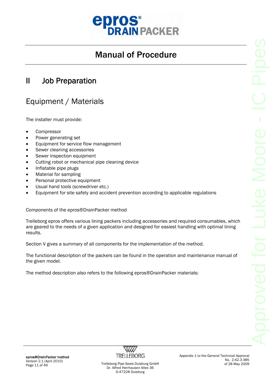

#### II Job Preparation

#### Equipment / Materials

The installer must provide:

- Compressor
- Power generating set
- Equipment for service flow management
- Sewer cleaning accessories
- Sewer inspection equipment
- Cutting robot or mechanical pipe cleaning device
- Inflatable pipe plugs
- Material for sampling
- Personal protective equipment
- Usual hand tools (screwdriver etc.)
- Equipment for site safety and accident prevention according to applicable regulations

Components of the epros®DrainPacker method

Trelleborg epros offers various lining packers including accessories and required consumables, which are geared to the needs of a given application and designed for easiest handling with optimal lining results.

Section V gives a summary of all components for the implementation of the method.

The functional description of the packers can be found in the operation and maintenance manual of the given model.

The method description also refers to the following epros®DrainPacker materials:

epros®DrainPacker method Version 2.1 (April 2010)



Appendix 1 to the General Technical Approval No. Z-42.3-385 of 28 May 2009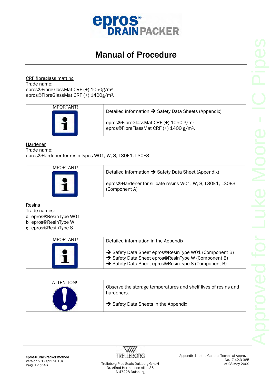

CRF fibreglass matting Trade name: epros®FibreGlassMat CRF (+) 1050g/m² epros®FibreGlassMat CRF (+) 1400g/m².

| IMPORTANT! | Detailed information → Safety Data Sheets (Appendix)                                                     |
|------------|----------------------------------------------------------------------------------------------------------|
|            | epros®FibreGlassMat CRF (+) 1050 g/m <sup>2</sup><br>epros®FibreFlassMat CRF (+) 1400 g/m <sup>2</sup> . |

Hardener

Trade name:

epros®Hardener for resin types W01, W, S, L30E1, L30E3

| IMPORTANT! | Detailed information $\rightarrow$ Safety Data Sheet (Appendix)             |
|------------|-----------------------------------------------------------------------------|
|            | epros®Hardener for silicate resins W01, W, S, L30E1, L30E3<br>(Component A) |

**Resins** 

Trade names:

- a epros®ResinType W01
- b epros®ResinType W
- c epros®ResinType S

| IMPORTANT! | Detailed information in the Appendix                                                                                                                            |
|------------|-----------------------------------------------------------------------------------------------------------------------------------------------------------------|
|            | Safety Data Sheet epros®ResinType W01 (Component B)<br>→ Safety Data Sheet epros®ResinType W (Component B)<br>Safety Data Sheet epros®ResinType S (Component B) |

| ATTENTION! | Observe the storage temperatures and shelf lives of resins and<br>hardeners. |
|------------|------------------------------------------------------------------------------|
|            | $\rightarrow$ Safety Data Sheets in the Appendix                             |

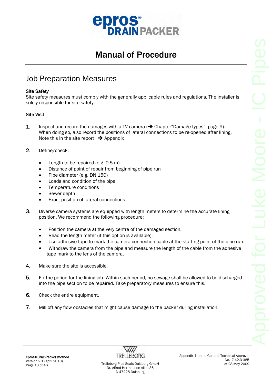

#### Job Preparation Measures

#### Site Safety

Site safety measures must comply with the generally applicable rules and regulations. The installer is solely responsible for site safety.

#### Site Visit

- **1.** Inspect and record the damages with a TV camera  $\rightarrow$  Chapter "Damage types", page 9). When doing so, also record the positions of lateral connections to be re-opened after lining. Note this in the site report  $\rightarrow$  Appendix
- 2. Define/check:
	- Length to be repaired (e.g. 0.5 m)
	- Distance of point of repair from beginning of pipe run
	- Pipe diameter (e.g. DN 150)
	- Loads and condition of the pipe
	- Temperature conditions
	- Sewer depth
	- Exact position of lateral connections
- 3. Diverse camera systems are equipped with length meters to determine the accurate lining position. We recommend the following procedure:
	- Position the camera at the very centre of the damaged section.
	- Read the length meter (if this option is available).
	- Use adhesive tape to mark the camera connection cable at the starting point of the pipe run.
	- Withdraw the camera from the pipe and measure the length of the cable from the adhesive tape mark to the lens of the camera.
- 4. Make sure the site is accessible.
- 5. Fix the period for the lining job. Within such period, no sewage shall be allowed to be discharged into the pipe section to be repaired. Take preparatory measures to ensure this.
- 6. Check the entire equipment.
- 7. Mill off any flow obstacles that might cause damage to the packer during installation.

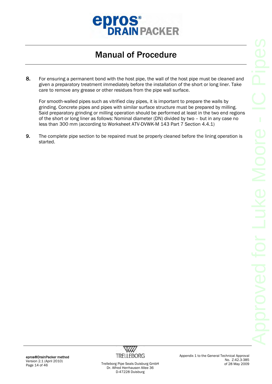

8. For ensuring a permanent bond with the host pipe, the wall of the host pipe must be cleaned and given a preparatory treatment immediately before the installation of the short or long liner. Take care to remove any grease or other residues from the pipe wall surface.

For smooth-walled pipes such as vitrified clay pipes, it is important to prepare the walls by grinding. Concrete pipes and pipes with similar surface structure must be prepared by milling. Said preparatory grinding or milling operation should be performed at least in the two end regions of the short or long liner as follows: Nominal diameter (DN) divided by two – but in any case no less than 300 mm (according to Worksheet ATV-DVWK-M 143 Part 7 Section 4.4.1)

9. The complete pipe section to be repaired must be properly cleaned before the lining operation is started.

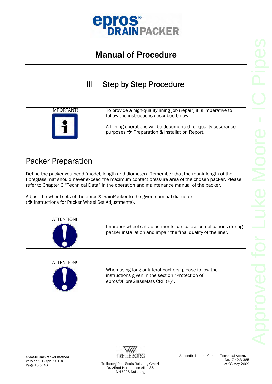

III Step by Step Procedure

| IMPORTANT! | To provide a high-quality lining job (repair) it is imperative to                                                           |
|------------|-----------------------------------------------------------------------------------------------------------------------------|
|            | follow the instructions described below.                                                                                    |
|            | All lining operations will be documented for quality assurance<br>purposes $\rightarrow$ Preparation & Installation Report. |

#### Packer Preparation

Define the packer you need (model, length and diameter). Remember that the repair length of the fibreglass mat should never exceed the maximum contact pressure area of the chosen packer. Please refer to Chapter 3 "Technical Data" in the operation and maintenance manual of the packer.

Adjust the wheel sets of the epros®DrainPacker to the given nominal diameter.  $\Theta$  Instructions for Packer Wheel Set Adjustments).

| ATTENTION! | Improper wheel set adjustments can cause complications during<br>packer installation and impair the final quality of the liner. |
|------------|---------------------------------------------------------------------------------------------------------------------------------|
|------------|---------------------------------------------------------------------------------------------------------------------------------|

| ATTENTION! |                                                                                                                                             |
|------------|---------------------------------------------------------------------------------------------------------------------------------------------|
|            | When using long or lateral packers, please follow the<br>instructions given in the section "Protection of<br>epros®FibreGlassMats CRF (+)". |



Appendix 1 to the General Technical Approval No. Z-42.3-385 of 28 May 2009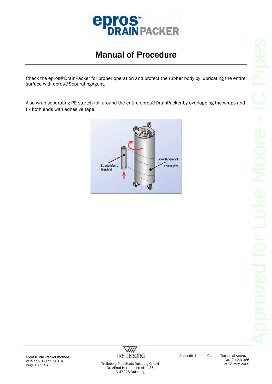

Check the epros®DrainPacker for proper operation and protect the rubber body by lubricating the entire surface with epros®SeparatingAgent.

Also wrap separating PE stretch foil around the entire epros®DrainPacker by overlapping the wraps and fix both ends with adhesive tape.





Page 16 of 46 Trelleborg Pipe Seals Duisburg GmbH Dr. Alfred Herrhausen Allee 36 D-47228 Duisburg

Appendix 1 to the General Technical Approval No. Z-42.3-385 of 28 May 2009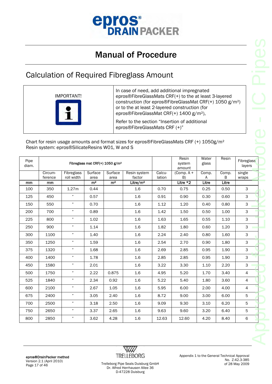

#### Calculation of Required Fibreglass Amount



|               |                    |                                                 |                 |                                             | <b>Calculation of Required Fibreglass Amount</b>                                                                                                                                                                                                                                                                                                                        |                  |                           |                |            |                      |
|---------------|--------------------|-------------------------------------------------|-----------------|---------------------------------------------|-------------------------------------------------------------------------------------------------------------------------------------------------------------------------------------------------------------------------------------------------------------------------------------------------------------------------------------------------------------------------|------------------|---------------------------|----------------|------------|----------------------|
|               |                    | <b>IMPORTANT!</b>                               |                 |                                             | In case of need, add additional impregnated<br>epros®FibreGlassMats CRF(+) to the at least 3-layered<br>construction (for epros®FibreGlassMat CRF(+) 1050 g/m <sup>2</sup> )<br>or to the at least 2-layered construction (for<br>epros®FibreGlassMat CRF(+) 1400 g/m <sup>2</sup> ),<br>Refer to the section "Insertion of additional<br>epros®FibreGlassMats CRF (+)" |                  |                           |                |            |                      |
|               |                    | Resin system: epros®SilicateResins W01, W and S |                 |                                             | Chart for resin usage amounts and format sizes for epros®FibreGlassMats CRF (+) 1050g/m <sup>2</sup>                                                                                                                                                                                                                                                                    |                  |                           |                |            |                      |
| Pipe<br>diam. |                    |                                                 |                 | Fibreglass mat CRF(+) 1050 g/m <sup>2</sup> |                                                                                                                                                                                                                                                                                                                                                                         |                  | Resin<br>system<br>amount | Water<br>glass | Resin      | Fibreglass<br>layers |
|               | Circum-<br>ference | Fibreglass<br>roll width                        | Surface<br>area | Surface<br>area                             | Resin system<br>factor                                                                                                                                                                                                                                                                                                                                                  | Calcu-<br>lation | (Comp. $A +$<br>B)        | Comp.<br>A     | Comp.<br>В | single<br>wraps      |
| mm            | mm                 |                                                 | m <sup>2</sup>  | m <sup>2</sup>                              | Litre/ $m2$                                                                                                                                                                                                                                                                                                                                                             |                  | Litre *2                  | Litre          | Litre      |                      |
| 100           | 350                | 1.27m                                           | 0.44            |                                             | 1.6                                                                                                                                                                                                                                                                                                                                                                     | 0.70             | 0.75                      | 0.25           | 0.50       | 3                    |
| 125           | 450                | ,,                                              | 0.57            |                                             | 1.6                                                                                                                                                                                                                                                                                                                                                                     | 0.91             | 0.90                      | 0.30           | 0.60       | 3                    |
| 150           | 550                | $\pmb{\eta}$                                    | 0.70            |                                             | 1.6                                                                                                                                                                                                                                                                                                                                                                     | 1.12             | 1.20                      | 0.40           | 0.80       | 3                    |
| 200           | 700                | $\pmb{n}$                                       | 0.89            |                                             | 1.6                                                                                                                                                                                                                                                                                                                                                                     | 1.42             | 1.50                      | 0.50           | 1.00       | 3                    |
| 225           | 800                | $\pmb{\cdot}$                                   | 1.02            |                                             | 1.6                                                                                                                                                                                                                                                                                                                                                                     | 1.63             | 1.65                      | 0.55           | 1.10       | 3                    |
| 250           | 900                | $\pmb{n}$                                       | 1.14            |                                             | 1.6                                                                                                                                                                                                                                                                                                                                                                     | 1.82             | 1.80                      | 0.60           | 1.20       | 3                    |
| 300           | 1100               | $\pmb{\eta}$                                    | 1.40            |                                             | 1.6                                                                                                                                                                                                                                                                                                                                                                     | 2.24             | 2.40                      | 0.80           | 1.60       | З                    |
| 350           | 1250               | "                                               | 1.59            |                                             | 1.6                                                                                                                                                                                                                                                                                                                                                                     | 2.54             | 2.70                      | 0.90           | 1.80       | 3                    |
| 375           | 1320               | $\pmb{n}$                                       | 1.68            |                                             | $1.6\,$                                                                                                                                                                                                                                                                                                                                                                 | 2.69             | 2.85                      | 0.95           | 1.90       | 3                    |
| 400           | 1400               | $\boldsymbol{\eta}$                             | 1.78            |                                             | 1.6                                                                                                                                                                                                                                                                                                                                                                     | 2.85             | 2.85                      | 0.95           | 1.90       | 3                    |
| 450           | 1580               | $\pmb{m}$                                       | 2.01            |                                             | $1.6\,$                                                                                                                                                                                                                                                                                                                                                                 | 3.22             | 3.30                      | 1.10           | 2.20       | 3                    |
|               | 1750               | $\pmb{n}$                                       | 2.22            | 0.875                                       | 1.6                                                                                                                                                                                                                                                                                                                                                                     | 4.95             | 5.20                      | 1.70           | 3.40       | 4                    |
| 500           | 1840               | $\boldsymbol{n}$                                | 2.34            | 0.92                                        | 1.6                                                                                                                                                                                                                                                                                                                                                                     | 5.22             | 5.40                      | 1.80           | 3.60       | 4                    |
| 525           | 2100               | $\pmb{n}$                                       | 2.67            | 1.05                                        | 1.6                                                                                                                                                                                                                                                                                                                                                                     | 5.95             | 6.00                      | 2.00           | 4.00       | 4                    |
| 600           |                    | $\boldsymbol{n}$                                | 3.05            | 2.40                                        | 1.6                                                                                                                                                                                                                                                                                                                                                                     | 8.72             | 9.00                      | 3.00           | 6.00       | 5                    |
| 675           | 2400               |                                                 |                 |                                             | 1.6                                                                                                                                                                                                                                                                                                                                                                     | 9.09             | 9.30                      | 3.10           | 6.20       | 5                    |
|               |                    | $\boldsymbol{n}$                                |                 |                                             |                                                                                                                                                                                                                                                                                                                                                                         |                  |                           |                |            |                      |
| 700<br>750    | 2500<br>2650       | $\boldsymbol{\eta}$                             | 3.18<br>3.37    | 2.50<br>2.65                                | $1.6\,$                                                                                                                                                                                                                                                                                                                                                                 | 9.63             | 9.60                      | 3.20           | 6.40       | 5                    |

epros®DrainPacker method Version 2.1 (April 2010) Page 17 of 46 Trelleborg Pipe Seals Duisburg GmbH



Dr. Alfred Herrhausen Allee 36 D-47228 Duisburg

Appendix 1 to the General Technical Approval No. Z-42.3-385 of 28 May 2009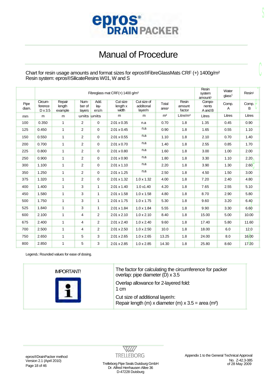

Chart for resin usage amounts and format sizes for epros®FibreGlassMats CRF (+) 1400g/m² Resin system: epros®SilicateResins W01, W and S

|               |                                      | Fibreglass mat CRF(+) 1400 g/m <sup>2</sup> | Resin<br>system<br>amount <sup>1</sup> |                       |                               |                                     |                            |                           |                            | Water<br>glass <sup>1</sup> | Resin <sup>1</sup> |
|---------------|--------------------------------------|---------------------------------------------|----------------------------------------|-----------------------|-------------------------------|-------------------------------------|----------------------------|---------------------------|----------------------------|-----------------------------|--------------------|
| Pipe<br>diam. | Circum-<br>ference<br>$D \times 3.5$ | Repair<br>length<br>example                 | Num-<br>ber of<br>layers               | Add.<br>lay-<br>ers/n | Cut size<br>length x<br>width | Cut size of<br>additonal<br>layer/n | Total<br>area <sup>1</sup> | Resin<br>amount<br>factor | Compo-<br>nents<br>A and B | Comp.<br>A                  | Comp.<br>в         |
| mm            | m                                    | m                                           | units units                            |                       | m                             | m                                   | m <sup>2</sup>             | Litre/m <sup>2</sup>      | Litres                     | Litres                      | Litres             |
| 100           | 0.350                                | $\mathbf{1}$                                | $\overline{2}$                         | 0                     | 2.01 x 0.35                   | n.a                                 | 0.70                       | 1.8                       | 1.35                       | 0.45                        | 0.90               |
| 125           | 0.450                                | 1                                           | $\overline{2}$                         | 0                     | 2.01 x 0.45                   | n.a                                 | 0.90                       | 1.8                       | 1.65                       | 0.55                        | 1.10               |
| 150           | 0.550                                | $\mathbf{1}$                                | 2                                      | 0                     | $2.01 \times 0.55$            | n.a                                 | 1.10                       | 1.8                       | 2.10                       | 0.70                        | 1.40               |
| 200           | 0.700                                | $\mathbf{1}$                                | 2                                      | 0                     | $2.01 \times 0.70$            | n.a                                 | 1.40                       | 1.8                       | 2.55                       | 0.85                        | 1.70               |
| 225           | 0.800                                | 1                                           | 2                                      | 0                     | $2.01 \times 0.80$            | n.a                                 | 1.60                       | 1.8                       | 3.00                       | 1.00                        | 2.00               |
| 250           | 0.900                                | 1                                           | 2                                      | 0                     | $2.01 \times 0.90$            | n.a                                 | 1.80                       | 1.8                       | 3.30                       | 1.10                        | 2.20               |
| 300           | 1.100                                | $\mathbf{1}$                                | $\overline{2}$                         | 0                     | 2.01 x 1.10                   | n.a                                 | 2.20                       | 1.8                       | 3.90                       | 1.30                        | 2.60               |
| 350           | 1.250                                | $\mathbf{1}$                                | $\overline{2}$                         | 0                     | $2.01 \times 1.25$            | n.a                                 | 2.50                       | 1.8                       | 4.50                       | 1.50                        | 3.00               |
| 375           | 1.320                                | $\mathbf{1}$                                | $\overline{2}$                         | $\mathbf 0$           | 2.01 x 1.32                   | $1.0 \times 1.32$                   | 4.00                       | 1.8                       | 7.20                       | 2.40                        | 4.80               |
| 400           | 1.400                                | $\mathbf{1}$                                | 3                                      | $\mathbf{1}$          | $2.01 \times 1.40$            | 1.0 x1.40                           | 4.20                       | 1.8                       | 7.65                       | 2.55                        | 5.10               |
| 450           | 1.580                                | $\mathbf{1}$                                | 3                                      | $\mathbf{1}$          | 2.01 x 1.58                   | $1.0 \times 1.58$                   | 4.80                       | 1.8                       | 8.70                       | 2.90                        | 5.80               |
| 500           | 1.750                                | 1                                           | 3                                      | $\mathbf{1}$          | 2.01 x 1.75                   | $1.0 \times 1.75$                   | 5.30                       | 1.8                       | 9.60                       | 3.20                        | 6.40               |
| 525           | 1.840                                | $\mathbf{1}$                                | 3                                      | $\mathbf{1}$          | 2.01 x 1.84                   | $1.0 \times 1.84$                   | 5.55                       | 1.8                       | 9.90                       | 3.30                        | 6.60               |
| 600           | 2.100                                | 1                                           | 4                                      | $\overline{2}$        | $2.01 \times 2.10$            | $1.0 \times 2.10$                   | 8.40                       | 1.8                       | 15.00                      | 5.00                        | 10.00              |
| 675           | 2.400                                | $\mathbf{1}$                                | 4                                      | $\overline{a}$        | $2.01 \times 2.40$            | $1.0 \times 2.40$                   | 9.60                       | 1.8                       | 17.40                      | 5.80                        | 11.60              |
| 700           | 2.500                                | 1                                           | 4                                      | $\overline{a}$        | 2.01 x 2.50                   | $1.0 \times 2.50$                   | 10.0                       | 1.8                       | 18.00                      | 6.0                         | 12.0               |
| 750           | 2.650                                | $\mathbf{1}$                                | 5                                      | 3                     | 2.01 x 2.65                   | $1.0 \times 2.65$                   | 13.25                      | 1.8                       | 24.00                      | 8.0                         | 16.00              |
| 800           | 2.850                                | 1                                           | 5                                      | 3                     | $2.01 \times 2.85$            | $1.0 \times 2.85$                   | 14.30                      | 1.8                       | 25.80                      | 8.60                        | 17.20              |

Legend1: Rounded values for ease of dosing.

| <b>IMPORTANT!</b> | The factor for calculating the circumference for packer<br>overlap: pipe diameter (D) x 3.5          |
|-------------------|------------------------------------------------------------------------------------------------------|
|                   | Overlap allowance for 2-layered fold:<br>1 cm                                                        |
|                   | Cut size of additional layer/n:<br>Repair length (m) x diameter (m) $x 3.5 = area$ (m <sup>2</sup> ) |

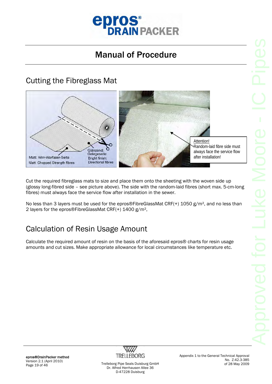

#### Cutting the Fibreglass Mat



Cut the required fibreglass mats to size and place them onto the sheeting with the woven side up (glossy long-fibred side – see picture above). The side with the random-laid fibres (short max. 5-cm-long fibres) must always face the service flow after installation in the sewer.

No less than 3 layers must be used for the epros®FibreGlassMat CRF(+) 1050 g/m<sup>2</sup>, and no less than 2 layers for the epros®FibreGlassMat CRF(+) 1400 g/m²,

### Calculation of Resin Usage Amount

Calculate the required amount of resin on the basis of the aforesaid epros® charts for resin usage amounts and cut sizes. Make appropriate allowance for local circumstances like temperature etc.



Appendix 1 to the General Technical Approval No. Z-42.3-385 of 28 May 2009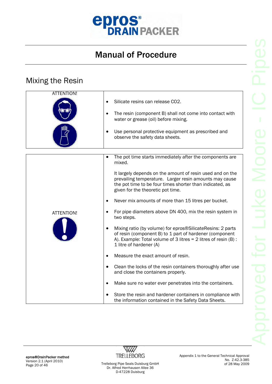

#### Mixing the Resin

| <b>ATTENTION!</b> |                                                                                                                                                                                                                       |
|-------------------|-----------------------------------------------------------------------------------------------------------------------------------------------------------------------------------------------------------------------|
|                   | Silicate resins can release CO2.                                                                                                                                                                                      |
|                   | The resin (component B) shall not come into contact with<br>water or grease (oil) before mixing.                                                                                                                      |
|                   | Use personal protective equipment as prescribed and<br>observe the safety data sheets.                                                                                                                                |
|                   |                                                                                                                                                                                                                       |
|                   | The pot time starts immediately after the components are<br>mixed.                                                                                                                                                    |
|                   | It largely depends on the amount of resin used and on the<br>prevailing temperature. Larger resin amounts may cause<br>the pot time to be four times shorter than indicated, as<br>given for the theoretic pot time.  |
|                   | Never mix amounts of more than 15 litres per bucket.<br>$\bullet$                                                                                                                                                     |
| ATTENTION!        | For pipe diameters above DN 400, mix the resin system in<br>two steps.                                                                                                                                                |
|                   | Mixing ratio (by volume) for epros®SilicateResins: 2 parts<br>of resin (component B) to 1 part of hardener (component<br>A). Example: Total volume of 3 litres $= 2$ litres of resin (B) :<br>1 litre of hardener (A) |
|                   | Measure the exact amount of resin.                                                                                                                                                                                    |
|                   | Clean the locks of the resin containers thoroughly after use<br>and close the containers properly.                                                                                                                    |
|                   | Make sure no water ever penetrates into the containers.<br>$\bullet$                                                                                                                                                  |
|                   | Store the resin and hardener containers in compliance with<br>the information contained in the Safety Data Sheets.                                                                                                    |

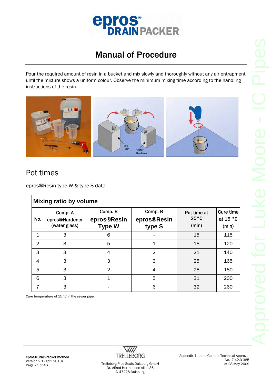

Pour the required amount of resin in a bucket and mix slowly and thoroughly without any air entrapment until the mixture shows a uniform colour. Observe the minimum mixing time according to the handling instructions of the resin.



#### Pot times

epros®Resin type W & type S data

|                | <b>Mixing ratio by volume</b>              |                                         |                                  |                                        |                                         |  |  |  |
|----------------|--------------------------------------------|-----------------------------------------|----------------------------------|----------------------------------------|-----------------------------------------|--|--|--|
| No.            | Comp. A<br>epros®Hardener<br>(water glass) | Comp. B<br>epros®Resin<br><b>Type W</b> | Comp. B<br>epros®Resin<br>type S | Pot time at<br>$20^{\circ}$ C<br>(min) | <b>Cure time</b><br>at $15 °C$<br>(min) |  |  |  |
| 1              | 3                                          | 6                                       |                                  | 15                                     | 115                                     |  |  |  |
| $\overline{2}$ | 3                                          | 5                                       | 1                                | 18                                     | 120                                     |  |  |  |
| 3              | 3                                          | 4                                       | $\mathfrak{D}$                   | 21                                     | 140                                     |  |  |  |
| 4              | 3                                          | 3                                       | 3                                | 25                                     | 165                                     |  |  |  |
| 5              | 3                                          | $\overline{2}$                          | 4                                | 28                                     | 180                                     |  |  |  |
| 6              | 3                                          | $\mathbf 1$                             | 5                                | 31                                     | 200                                     |  |  |  |
| 7              | 3                                          |                                         | 6                                | 32                                     | 260                                     |  |  |  |

Cure temperature of 15°C in the sewer pipe.

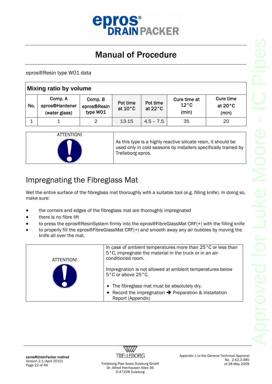

epros®Resin type W01 data

| Mixing ratio by volume |                                            |                                    |                               |                               |                                         |                                         |  |
|------------------------|--------------------------------------------|------------------------------------|-------------------------------|-------------------------------|-----------------------------------------|-----------------------------------------|--|
| No.                    | Comp. A<br>apros®Hardener<br>(water glass) | Comp. B<br>epros®Resin<br>type W01 | Pot time<br>at $10^{\circ}$ C | Pot time<br>at $22^{\circ}$ C | Cure time at<br>$12^{\circ}$ C<br>(min) | Cure time<br>at $20^{\circ}$ C<br>(min) |  |
|                        |                                            | 2                                  | 13-15                         | $4.5 - 7.5$                   | 35                                      | 20                                      |  |



As this type is a highly reactive silicate resin, it should be used only in cold seasons by installers specifically trained by Trelleborg epros.

#### Impregnating the Fibreglass Mat

Wet the entire surface of the fibreglass mat thoroughly with a suitable tool (e.g. filling knife). In doing so, make sure:

- the corners and edges of the fibreglass mat are thoroughly impregnated
- there is no fibre lift
- to press the epros®ResinSystem firmly into the epros®FibreGlassMat CRF(+) with the filling knife
- to properly fill the epros®FibreGlassMat CRF(+) and smooth away any air bubbles by moving the knife all over the mat.

| ATTENTION! | In case of ambient temperatures more than 25 °C or less than<br>5°C, impregnate the material in the truck or in an air-<br>conditioned room. |
|------------|----------------------------------------------------------------------------------------------------------------------------------------------|
|            | Impregnation is not allowed at ambient temperatures below<br>5°C or above 25°C.                                                              |
|            | • The fibreglass mat must be absolutely dry.                                                                                                 |
|            | • Record the impregnation $\rightarrow$ Preparation & Installation<br>Report (Appendix)                                                      |

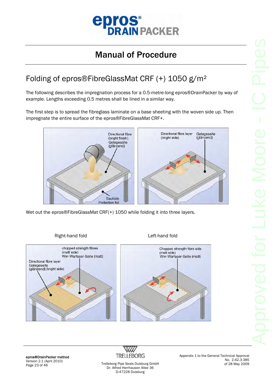

### Folding of epros®FibreGlassMat CRF (+) 1050 g/m²

The following describes the impregnation process for a 0.5-metre-long epros®DrainPacker by way of example. Lengths exceeding 0.5 metres shall be lined in a similar way.

The first step is to spread the fibreglass laminate on a base sheeting with the woven side up. Then impregnate the entire surface of the epros®FibreGlassMat CRF+.



Wet out the epros®FibreGlassMat CRF(+) 1050 while folding it into three layers.

#### Right-hand fold **Left-hand fold**



epros®DrainPacker method Version 2.1 (April 2010) Page 23 of 46 Trelleborg Pipe Seals Duisburg GmbH



Dr. Alfred Herrhausen Allee 36 D-47228 Duisburg

Appendix 1 to the General Technical Approval No. Z-42.3-385 of 28 May 2009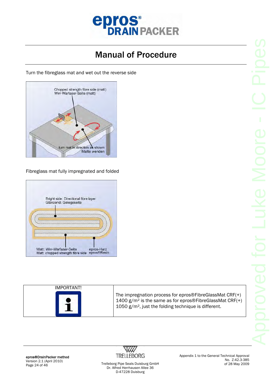

Turn the fibreglass mat and wet out the reverse side



Fibreglass mat fully impregnated and folded



| IMPORTANT! |                                                                                                                                                                                       |
|------------|---------------------------------------------------------------------------------------------------------------------------------------------------------------------------------------|
|            | The impregnation process for epros®FibreGlassMat $CRF(+)$<br>1400 $g/m^2$ is the same as for epros®FibreGlassMat CRF $(+)$<br>1050 $g/m^2$ , just the folding technique is different. |



Appendix 1 to the General Technical Approval No. Z-42.3-385 of 28 May 2009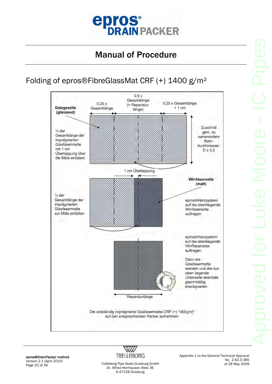

### Folding of epros®FibreGlassMat CRF (+) 1400 g/m²



epros®DrainPacker method Version 2.1 (April 2010)



Appendix 1 to the General Technical Approval No. Z-42.3-385 of 28 May 2009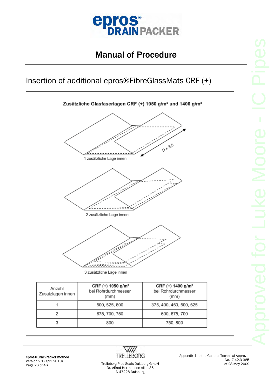

#### Insertion of additional epros®FibreGlassMats CRF (+)



epros®DrainPacker method Version 2.1 (April 2010)



Appendix 1 to the General Technical Approval No. Z-42.3-385 of 28 May 2009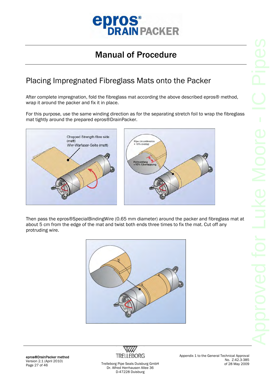

#### Placing Impregnated Fibreglass Mats onto the Packer

After complete impregnation, fold the fibreglass mat according the above described epros® method, wrap it around the packer and fix it in place.

For this purpose, use the same winding direction as for the separating stretch foil to wrap the fibreglass mat tightly around the prepared epros®DrainPacker.



Then pass the epros®SpecialBindingWire (0.65 mm diameter) around the packer and fibreglass mat at about 5 cm from the edge of the mat and twist both ends three times to fix the mat. Cut off any protruding wire.



epros®DrainPacker method Version 2.1 (April 2010) Page 27 of 46 Trelleborg Pipe Seals Duisburg GmbH



Dr. Alfred Herrhausen Allee 36 D-47228 Duisburg

Appendix 1 to the General Technical Approval No. Z-42.3-385 of 28 May 2009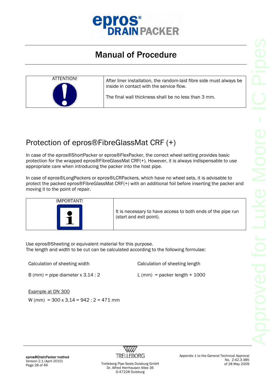



### Protection of epros®FibreGlassMat CRF (+)

In case of the epros®ShortPacker or epros®FlexPacker, the correct wheel setting provides basic protection for the wrapped epros®FibreGlassMat CRF(+). However, it is always indispensable to use appropriate care when introducing the packer into the host pipe.

In case of epros®LongPackers or epros®LCRPackers, which have no wheel sets, it is advisable to protect the packed epros®FibreGlassMat CRF(+) with an additional foil before inserting the packer and moving it to the point of repair.



Use epros®Sheeting or equivalent material for this purpose. The length and width to be cut can be calculated according to the following formulae:

Calculation of sheeting width Calculation of sheeting length

B (mm) = pipe diameter  $x$  3.14 : 2

 $L$  (mm) = packer length + 1000

Example at DN 300

W (mm) =  $300 \times 3.14 = 942 : 2 = 471$  mm

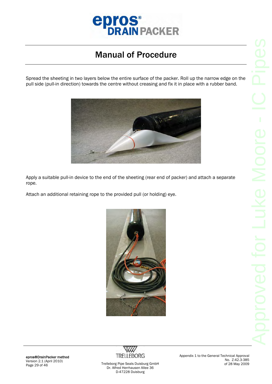

Spread the sheeting in two layers below the entire surface of the packer. Roll up the narrow edge on the pull side (pull-in direction) towards the centre without creasing and fix it in place with a rubber band.



Apply a suitable pull-in device to the end of the sheeting (rear end of packer) and attach a separate rope.

Attach an additional retaining rope to the provided pull (or holding) eye.





Appendix 1 to the General Technical Approval No. Z-42.3-385 of 28 May 2009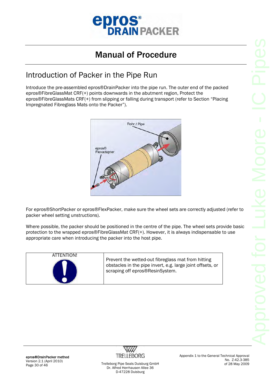

#### Introduction of Packer in the Pipe Run

Introduce the pre-assembled epros®DrainPacker into the pipe run. The outer end of the packed epros®FibreGlassMat CRF(+) points downwards in the abutment region, Protect the epros®FibreGlassMats CRF(+) from slipping or falling during transport (refer to Section "Placing Impregnated Fibreglass Mats onto the Packer").



For epros®ShortPacker or epros®FlexPacker, make sure the wheel sets are correctly adjusted (refer to packer wheel setting unstructions).

Where possible, the packer should be positioned in the centre of the pipe. The wheel sets provide basic protection to the wrapped epros®FibreGlassMat CRF(+). However, it is always indispensable to use appropriate care when introducing the packer into the host pipe.

| ATTENTION! | Prevent the wetted-out fibreglass mat from hitting<br>obstacles in the pipe invert, e.g. large joint offsets, or<br>scraping off epros®ResinSystem. |
|------------|-----------------------------------------------------------------------------------------------------------------------------------------------------|
|------------|-----------------------------------------------------------------------------------------------------------------------------------------------------|



Appendix 1 to the General Technical Approval No. Z-42.3-385 of 28 May 2009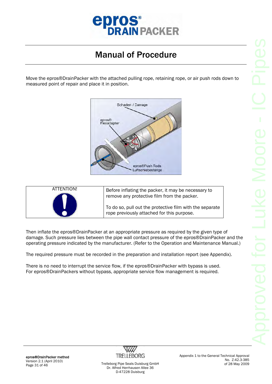

Move the epros®DrainPacker with the attached pulling rope, retaining rope, or air push rods down to measured point of repair and place it in position.



| ATTENTION! | Before inflating the packer, it may be necessary to<br>remove any protective film from the packer.     |
|------------|--------------------------------------------------------------------------------------------------------|
|            | To do so, pull out the protective film with the separate<br>rope previously attached for this purpose. |

Then inflate the epros®DrainPacker at an appropriate pressure as required by the given type of damage. Such pressure lies between the pipe wall contact pressure of the epros®DrainPacker and the operating pressure indicated by the manufacturer. (Refer to the Operation and Maintenance Manual.)

The required pressure must be recorded in the preparation and installation report (see Appendix).

There is no need to interrupt the service flow, if the epros®DrainPacker with bypass is used. For epros®DrainPackers without bypass, appropriate service flow management is required.

epros®DrainPacker method Version 2.1 (April 2010)



Appendix 1 to the General Technical Approval No. Z-42.3-385 of 28 May 2009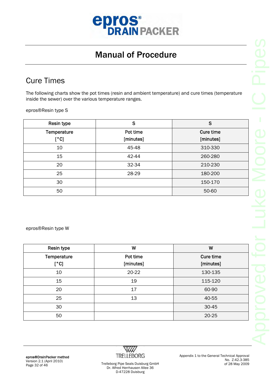

#### Cure Times

The following charts show the pot times (resin and ambient temperature) and cure times (temperature inside the sewer) over the various temperature ranges.

epros®Resin type S

| Resin type  | S         | S         |
|-------------|-----------|-----------|
| Temperature | Pot time  | Cure time |
| [°C]        | [minutes] | [minutes] |
| 10          | 45-48     | 310-330   |
| 15          | 42-44     | 260-280   |
| 20          | 32-34     | 210-230   |
| 25          | 28-29     | 180-200   |
| 30          |           | 150-170   |
| 50          |           | 50-60     |

epros®Resin type W

| Resin type  | W         | W         |
|-------------|-----------|-----------|
| Temperature | Pot time  | Cure time |
| [°C]        | [minutes] | [minutes] |
| 10          | 20-22     | 130-135   |
| 15          | 19        | 115-120   |
| 20          | 17        | 60-90     |
| 25          | 13        | 40-55     |
| 30          |           | 30-45     |
| 50          |           | 20-25     |

epros®DrainPacker method Version 2.1 (April 2010) Page 32 of 46 Trelleborg Pipe Seals Duisburg GmbH



Appendix 1 to the General Technical Approval No. Z-42.3-385 of 28 May 2009

Dr. Alfred Herrhausen Allee 36 D-47228 Duisburg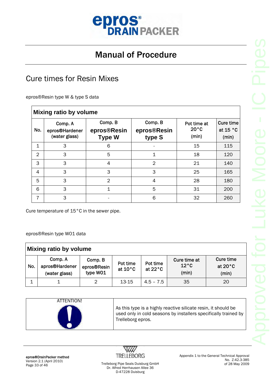

#### Cure times for Resin Mixes

epros®Resin type W & type S data

 $\overline{1}$ 

|                | <b>Mixing ratio by volume</b>              |                                         |                                  |                                        |                                         |  |  |  |
|----------------|--------------------------------------------|-----------------------------------------|----------------------------------|----------------------------------------|-----------------------------------------|--|--|--|
| No.            | Comp. A<br>epros®Hardener<br>(water glass) | Comp. B<br>epros®Resin<br><b>Type W</b> | Comp. B<br>epros®Resin<br>type S | Pot time at<br>$20^{\circ}$ C<br>(min) | <b>Cure time</b><br>at $15 °C$<br>(min) |  |  |  |
| 1              | 3                                          | 6                                       |                                  | 15                                     | 115                                     |  |  |  |
| $\mathfrak{D}$ | 3                                          | 5                                       | 1                                | 18                                     | 120                                     |  |  |  |
| 3              | 3                                          | 4                                       | $\overline{2}$                   | 21                                     | 140                                     |  |  |  |
| 4              | 3                                          | 3                                       | 3                                | 25                                     | 165                                     |  |  |  |
| 5              | 3                                          | 2                                       | 4                                | 28                                     | 180                                     |  |  |  |
| 6              | 3                                          |                                         | 5                                | 31                                     | 200                                     |  |  |  |
| 7              | 3                                          |                                         | 6                                | 32                                     | 260                                     |  |  |  |

Cure temperature of 15°C in the sewer pipe.

epros®Resin type W01 data

| Mixing ratio by volume |                                            |                                    |                               |                               |                                         |                                         |  |
|------------------------|--------------------------------------------|------------------------------------|-------------------------------|-------------------------------|-----------------------------------------|-----------------------------------------|--|
| No.                    | Comp. A<br>apros®Hardener<br>(water glass) | Comp. B<br>epros®Resin<br>type W01 | Pot time<br>at $10^{\circ}$ C | Pot time<br>at $22^{\circ}$ C | Cure time at<br>$12^{\circ}$ C<br>(min) | Cure time<br>at $20^{\circ}$ C<br>(min) |  |
|                        |                                            | 2                                  | $13 - 15$                     | $4.5 - 7.5$                   | 35                                      | 20                                      |  |

| ATTENTION! | As this type is a highly reactive silicate resin, it should be<br>used only in cold seasons by installers specifically trained by<br>Trelleborg epros. |
|------------|--------------------------------------------------------------------------------------------------------------------------------------------------------|
|------------|--------------------------------------------------------------------------------------------------------------------------------------------------------|

epros®DrainPacker method Version 2.1 (April 2010)

W **TRELLEBORG** 

Appendix 1 to the General Technical Approval No. Z-42.3-385 of 28 May 2009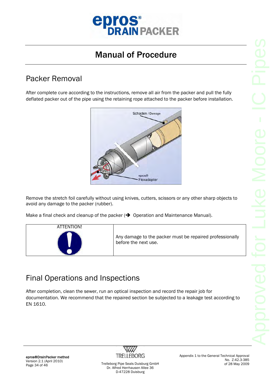

#### Packer Removal

After complete cure according to the instructions, remove all air from the packer and pull the fully deflated packer out of the pipe using the retaining rope attached to the packer before installation.



Remove the stretch foil carefully without using knives, cutters, scissors or any other sharp objects to avoid any damage to the packer (rubber).

Make a final check and cleanup of the packer ( $\rightarrow$  Operation and Maintenance Manual).



Any damage to the packer must be repaired professionally before the next use.

### Final Operations and Inspections

After completion, clean the sewer, run an optical inspection and record the repair job for documentation. We recommend that the repaired section be subjected to a leakage test according to EN 1610.



Appendix 1 to the General Technical Approval No. Z-42.3-385 of 28 May 2009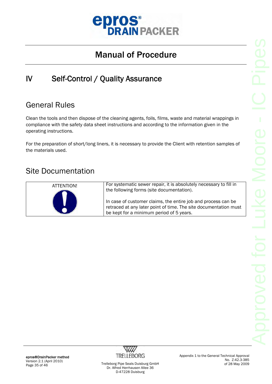

### IV Self-Control / Quality Assurance

#### General Rules

Clean the tools and then dispose of the cleaning agents, foils, films, waste and material wrappings in compliance with the safety data sheet instructions and according to the information given in the operating instructions.

For the preparation of short/long liners, it is necessary to provide the Client with retention samples of the materials used.

#### Site Documentation



epros®DrainPacker method Version 2.1 (April 2010)



Appendix 1 to the General Technical Approval No. Z-42.3-385 of 28 May 2009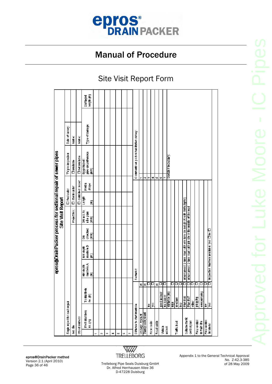

#### Site Visit Report Form

|                                                          |                           |                      |                                                                           |                                              |                      |                              |                         |                  | epros@CrainPacker process for sectional repair of sewer pipes |                 |                       |
|----------------------------------------------------------|---------------------------|----------------------|---------------------------------------------------------------------------|----------------------------------------------|----------------------|------------------------------|-------------------------|------------------|---------------------------------------------------------------|-----------------|-----------------------|
|                                                          |                           |                      |                                                                           |                                              |                      | Site Visit Report            |                         |                  |                                                               |                 |                       |
| Single report for each repair                            |                           |                      |                                                                           |                                              |                      |                              | O foul water            |                  | TV pre-inspection                                             | Date of survey: |                       |
| Job sibe                                                 |                           |                      |                                                                           |                                              |                      | Project No.:                 | D storm water           |                  | <b>Clavailable</b>                                            | Name:           |                       |
| <b>Street address</b>                                    |                           |                      |                                                                           |                                              |                      |                              | <b>O</b> combined sewer |                  | <b>Onot available</b>                                         | Name:           |                       |
| From manhole<br>$\mathfrak{no.}\left( \mathsf{A}\right)$ | To manhole<br>n0. (B)     |                      | manhole A<br>MH de pth<br>ε                                               | manhole B<br>NH dept<br>$\widehat{\epsilon}$ | checked<br>(lm)<br>종 | DN acc.to<br>ngd egn<br>(lm) | Length<br>ε             | Profile<br>shape | Egg <haped:<br>  pipe circumference<br/>Ĵ</haped:<br>         | Type of damage  | length (m)<br>Damaged |
|                                                          |                           |                      |                                                                           |                                              |                      |                              |                         |                  |                                                               |                 |                       |
| e.                                                       |                           |                      |                                                                           |                                              |                      |                              |                         |                  |                                                               |                 |                       |
| ø                                                        |                           |                      |                                                                           |                                              |                      |                              |                         |                  |                                                               |                 |                       |
| 4                                                        |                           |                      |                                                                           |                                              |                      |                              |                         |                  |                                                               |                 |                       |
| w                                                        |                           |                      |                                                                           |                                              |                      |                              |                         |                  |                                                               |                 |                       |
| Ğ.                                                       |                           |                      |                                                                           |                                              |                      |                              |                         |                  |                                                               |                 |                       |
|                                                          |                           |                      |                                                                           |                                              |                      |                              |                         |                  |                                                               |                 |                       |
| Distance to start manhole                                |                           |                      | Remarks:                                                                  |                                              |                      |                              |                         |                  | Comments on post-re habilitation survey:                      |                 |                       |
| Undergr. hydrant                                         |                           | E                    |                                                                           |                                              |                      |                              |                         |                  |                                                               |                 |                       |
| Standp ost hydrant                                       |                           | E                    |                                                                           |                                              |                      |                              |                         | ç.               |                                                               |                 |                       |
|                                                          | Ê                         | □                    |                                                                           |                                              |                      |                              |                         | ∞                |                                                               |                 |                       |
| Hose racks                                               | š                         | □                    |                                                                           |                                              |                      |                              |                         | d                |                                                               |                 |                       |
| Road width                                               |                           | E                    |                                                                           |                                              |                      |                              |                         | V)               |                                                               |                 |                       |
| Vehicle                                                  | good access               | $\Box$               |                                                                           |                                              |                      |                              |                         | مە               |                                                               |                 |                       |
| access                                                   | no access<br>distance (m) | ⊡                    |                                                                           |                                              |                      |                              |                         |                  |                                                               |                 |                       |
|                                                          | 탈                         |                      |                                                                           |                                              |                      |                              |                         |                  | Sketch if necessary:                                          |                 |                       |
| Traffic bad                                              | <b>Medium</b>             | ⊐<br>□               |                                                                           |                                              |                      |                              |                         |                  |                                                               |                 |                       |
|                                                          | 3                         | □                    |                                                                           |                                              |                      |                              |                         |                  |                                                               |                 |                       |
| Suitable traffic                                         | Plan BIS                  | $\overline{\square}$ | urban areas: 2-lane road with one lane closed (B i/6 with traffic lights) |                                              |                      |                              |                         |                  |                                                               |                 |                       |
| controlplan                                              | Plan BIAT                 | $\overline{\square}$ | urban areas: 2-lane road with job site in the middle of the road          |                                              |                      |                              |                         |                  |                                                               |                 |                       |
|                                                          | <b>SEP</b>                | ⊐                    |                                                                           |                                              |                      |                              |                         |                  |                                                               |                 |                       |
| Flow control                                             | bubbay                    | 口                    |                                                                           |                                              |                      |                              |                         |                  |                                                               |                 |                       |
| in main line                                             | o verpumpin               | Ω                    |                                                                           |                                              |                      |                              |                         |                  |                                                               |                 |                       |
| Flow control                                             | ∣≅                        | □                    |                                                                           |                                              |                      |                              |                         |                  |                                                               |                 |                       |
| in lateral                                               | L                         | 靣                    | inspection manhole available: yes [] no []                                |                                              |                      |                              |                         |                  |                                                               |                 |                       |
|                                                          |                           |                      |                                                                           |                                              |                      |                              |                         |                  |                                                               |                 |                       |

epros®DrainPacker method Version 2.1 (April 2010) Page 36 of 46 Trelleborg Pipe Seals Duisburg GmbH



Dr. Alfred Herrhausen Allee 36 D-47228 Duisburg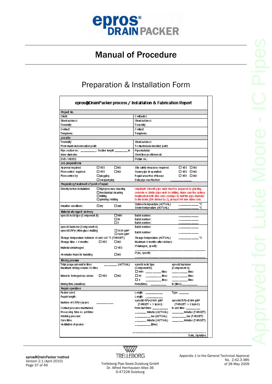

#### Preparation & Installation Form

| epros@DrainPacker process / Installation & Fabrication Report |                               |                              |                                                                           |                                   |
|---------------------------------------------------------------|-------------------------------|------------------------------|---------------------------------------------------------------------------|-----------------------------------|
| Project No.                                                   |                               |                              |                                                                           |                                   |
| Client                                                        |                               |                              | Contractor:                                                               |                                   |
| Street ad dress:                                              |                               |                              | Street ad dress:                                                          |                                   |
| Town/city:                                                    |                               |                              | Toun kity:                                                                |                                   |
| Contact                                                       |                               |                              | Contact                                                                   |                                   |
| Telephone:                                                    |                               |                              | Telephone:                                                                |                                   |
| Jobate                                                        |                               |                              |                                                                           |                                   |
| Town/city:                                                    |                               |                              | Street address:                                                           |                                   |
| From manhole/connection point:                                |                               |                              | To mainhole/connection point:                                             |                                   |
| Pipe section no.: __________ Section length ________ m        |                               |                              | Pipe material:                                                            |                                   |
| Inner diameter.                                               |                               |                              | Short liner positioned at:                                                |                                   |
|                                                               |                               |                              |                                                                           |                                   |
| DVD / VIDEO:                                                  |                               | Picture no.:                 |                                                                           |                                   |
| Job preparations                                              |                               |                              |                                                                           |                                   |
| Approval required:                                            | ⊔меѕ                          | Ωмо                          | Site safety measures required:                                            | ⊡ме≲ ⊡мо                          |
| Flow control required:                                        | Πν∈s                          | Ωмо                          | Sewerpipe in operation:                                                   | ⊡ме≲ ⊡мо                          |
| Flow control by:                                              | □plugging                     |                              | Repair area free of faleces                                               | ⊡ме≲ ⊡мо                          |
| $\square$ overpumping                                         |                               | Datepipe wasflushed:         |                                                                           |                                   |
| Preparatory treatment of point of repair                      |                               |                              |                                                                           |                                   |
| Directly before installation:                                 | $\Box$ high-pressure cleaning |                              | Important Smooth pipe walls must be prepared by grinding,                 |                                   |
|                                                               | $\Box$ mechanical cleaning    |                              | concrete or similar pipe walls by milling. Make sure the surface          |                                   |
|                                                               | $\square$ miling              |                              | treatment at both liner ends overlaps by half the pipe diameter           |                                   |
|                                                               | $\square$ grinding / milling  |                              | to the inside (DN-divided by 2), at least 300 mm-either side.             |                                   |
| Weather conditions:                                           | ⊟dry                          | □wet                         | Outdoor temperature (ACTUAL)<br>Sewertemperature (ACTUAL)                 | ۰c<br>۰c<br>_____                 |
| Material atomage & delivery                                   |                               |                              |                                                                           |                                   |
| epros© resin type (Component B)                               |                               | 口 10001                      | Batch number:                                                             |                                   |
|                                                               |                               | 口w                           | Batch number:                                                             |                                   |
|                                                               |                               | Пs                           | Batch number:                                                             |                                   |
| epros@ harde ner (Comp onent A).                              |                               |                              | Batch number:                                                             |                                   |
| epros@CRF(+)fibre.glass.matting                               |                               | $\Box$ 1050 g/m <sup>2</sup> | Batch number:                                                             |                                   |
| Storage temperature between +6 and +25 °C (TARGET).           |                               | $\Box$ 1400 g/m <sup>2</sup> | Sto age temperature (ACTUAL).                                             | . °C<br>______                    |
| Storage time = 6 months                                       | <b>D</b> YES                  | Ωмо                          | Maximum 6 months after delivery.                                          |                                   |
|                                                               |                               |                              |                                                                           |                                   |
| Material undamaged                                            |                               | ΠγES                         | If damaged, specify:                                                      |                                   |
|                                                               |                               |                              | If yes, specify.                                                          |                                   |
| Anomalies found in handling                                   |                               | Пмо                          |                                                                           |                                   |
| Mixing process                                                |                               |                              |                                                                           |                                   |
| Total usage amount in litres                                  |                               | (ACTUAL)                     | epros© resin type                                                         | epros® hardener                   |
| Maximum mixing volume 15 litres.                              |                               |                              | (Component B)                                                             | (Component A)                     |
|                                                               |                               |                              | $\square$ $\nu$ $\nu$ $\blacksquare$ $\square$ $\square$ $\square$ litres | _____________ litres              |
| Mixed to homogenous colour:                                   | ⊔γes                          | Пмо                          | ___________ ftres<br>口田                                                   | ___________ litres                |
|                                                               |                               |                              | Πs.<br>_____________ ftres                                                | ____ _____ litres                 |
| Mixing time (duration):                                       |                               |                              | from(time) _                                                              | to (time) __ _                    |
| Repair operation                                              |                               |                              |                                                                           |                                   |
| Paicker use d:                                                |                               |                              | Length: _ <b>_______</b> _                                                | Туре: ____                        |
| Repair length:                                                |                               |                              | Length: _                                                                 |                                   |
| Number of CRF(+) layers                                       |                               |                              | eprosGCRF <del>(+</del> )1050 g/m <sup>2</sup>                            | eprosOCRF(+)1 400 g/m2            |
|                                                               |                               |                              | (TARGET: = \$ layers).                                                    | $(TABCET) = 2 \text{ layers}$     |
| Contact pressure maintained:                                  |                               |                              | from start time: _____                                                    | to end time: $\_\_$               |
| Processing time us, pot time:                                 |                               |                              | _______ minutes (ACTUAL)                                                  |                                   |
| Working pressure:                                             |                               |                              | ________ bar (ACTUAL)                                                     | $\frac{1}{\sqrt{2}}$ bar (TARGET) |
| Cure time:                                                    |                               |                              | ______ minutes (ACTUAL)                                                   | _____ minutes (TARGET)            |
| Ventilation of packer:                                        |                               |                              | - ______ _ _ _ (time)                                                     |                                   |
|                                                               |                               |                              |                                                                           |                                   |
|                                                               |                               |                              |                                                                           | Date, signature                   |

epros®DrainPacker method Version 2.1 (April 2010)



Appendix 1 to the General Technical Approval No. Z-42.3-385 of 28 May 2009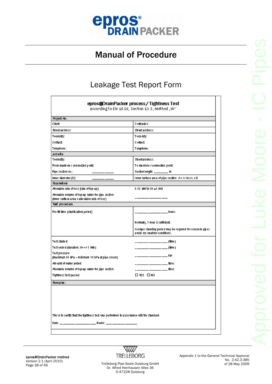

#### Leakage Test Report Form

| epros@DrainPacker process/Tightness Test<br>according to EN 1610, Section 13.3, Method "W"            |                                                                                               |  |
|-------------------------------------------------------------------------------------------------------|-----------------------------------------------------------------------------------------------|--|
| Project-No.                                                                                           |                                                                                               |  |
| Client                                                                                                | Contractor:                                                                                   |  |
| Street ad dress:                                                                                      | Street address:                                                                               |  |
| Town/city:                                                                                            | Toun Aity:                                                                                    |  |
| Contact                                                                                               | Contact                                                                                       |  |
| Telephone:                                                                                            | Telephone:                                                                                    |  |
| Jobate                                                                                                |                                                                                               |  |
| Town/city:                                                                                            | Streetad dress:                                                                               |  |
| From manhole / connection point:                                                                      | To manhole / connection point:                                                                |  |
| Pipe section no.:-                                                                                    | Section length: _________ m                                                                   |  |
| Inner diam eter (D):                                                                                  | Inner surface are a of pipe section: A = 3.14 x L x D                                         |  |
| <b>Parameters</b>                                                                                     |                                                                                               |  |
| $0.15$ km <sup>2</sup> in $30 \pm 1$ min<br>Alouable rate of loss (rate of top-up):                   |                                                                                               |  |
| Alowable volume of top-up water for pipe section.<br>(inner suma ce a rea x allo wable rate of loss). |                                                                                               |  |
| Test procedure                                                                                        |                                                                                               |  |
| Pre-fil time (stabilisation period).                                                                  | hours<br>______                                                                               |  |
|                                                                                                       | Normally, 1 hour is sufficient.                                                               |  |
|                                                                                                       | A longer standing period may be required for concrete pipes.<br>under dry weather conditions. |  |
| Test starte d:                                                                                        |                                                                                               |  |
| Test ended (duration: $30 + h + 1$ Min )                                                              |                                                                                               |  |
| Test pressure<br>(maximum 50 KPa – minimum 10 kPa at pipe crown).                                     |                                                                                               |  |
| Amount of water added                                                                                 |                                                                                               |  |
| Alowable volume of top-up water for pipe section.                                                     | __________________________ litres                                                             |  |
| Tightness test passed                                                                                 | <b>□YES □NO</b>                                                                               |  |
| Remarks:                                                                                              |                                                                                               |  |
|                                                                                                       |                                                                                               |  |
| This is to certify that the tightness test was performed in a coordance with the standard.            |                                                                                               |  |
|                                                                                                       |                                                                                               |  |
|                                                                                                       |                                                                                               |  |

epros®DrainPacker method Version 2.1 (April 2010) Page 38 of 46 Trelleborg Pipe Seals Duisburg GmbH



Dr. Alfred Herrhausen Allee 36 D-47228 Duisburg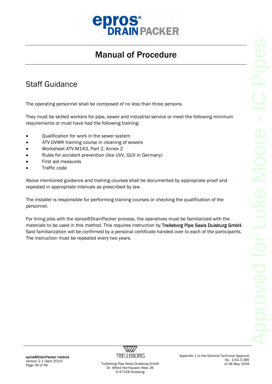

#### Staff Guidance

The operating personnel shall be composed of no less than three persons.

They must be skilled workers for pipe, sewer and industrial service or meet the following minimum requirements or must have had the following training:

- Qualification for work in the sewer system
- ATV-DVWK training course in cleaning of sewers
- Worksheet ATV-M143, Part 2, Annex 2
- Rules for accident prevention (like UVV, GUV in Germany)
- First aid measures
- Traffic code

Above mentioned guidance and training courses shall be documented by appropriate proof and repeated in appropriate intervals as prescribed by law.

The installer is responsible for performing training courses or checking the qualification of the personnel.

For lining jobs with the epros®DrainPacker process, the operatives must be familiarized with the materials to be used in this method. This requires instruction by Trelleborg Pipe Seals Duisburg GmbH. Said familiarization will be confirmed by a personal certificate handed over to each of the participants. The instruction must be repeated every two years.

epros®DrainPacker method Version 2.1 (April 2010)



Appendix 1 to the General Technical Approval No. Z-42.3-385 of 28 May 2009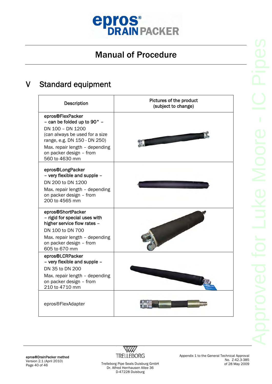

### V Standard equipment

| Description                                                                                                                                                                                                                    | Pictures of the product<br>(subject to change) |
|--------------------------------------------------------------------------------------------------------------------------------------------------------------------------------------------------------------------------------|------------------------------------------------|
| epros®FlexPacker<br>- can be folded up to 90 $^{\circ}$ -<br>DN 100 - DN 1200<br>(can always be used for a size<br>range, e.g. DN 150 - DN 250)<br>Max. repair length - depending<br>on packer design - from<br>560 to 4630 mm |                                                |
| epros®LongPacker<br>- very flexible and supple -<br>DN 200 to DN 1200<br>Max. repair length - depending<br>on packer design - from<br>200 to 4565 mm                                                                           |                                                |
| epros®ShortPacker<br>- rigid for special uses with<br>higher service flow rates -<br>DN 100 to DN 700<br>Max. repair length - depending<br>on packer design - from<br>605 to 670 mm                                            |                                                |
| epros®LCRPacker<br>- very flexible and supple -<br>DN 35 to DN 200<br>Max. repair length - depending<br>on packer design - from<br>210 to 4710 mm                                                                              |                                                |
| epros®FlexAdapter                                                                                                                                                                                                              |                                                |

epros®DrainPacker method Version 2.1 (April 2010)

W TRELLEBORG Trelleborg Pipe Seals Duisburg GmbH

Appendix 1 to the General Technical Approval No. Z-42.3-385 of 28 May 2009

Dr. Alfred Herrhausen Allee 36 D-47228 Duisburg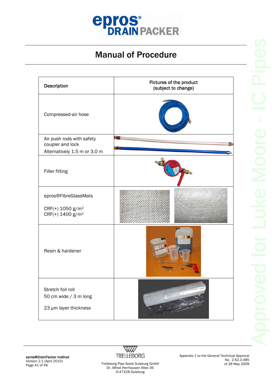

| Description                                                         | Pictures of the product<br>(subject to change) |
|---------------------------------------------------------------------|------------------------------------------------|
| Compressed-air hose                                                 |                                                |
| Air push rods with safety<br>coupler and lock                       | MГ                                             |
| Alternatively 1.5 m or 3.0 m                                        |                                                |
| <b>Filler fitting</b>                                               |                                                |
| epros®FibreGlassMats<br>CRF(+) 1050 g/m <sup>2</sup>                |                                                |
| CRF(+) 1400 g/m <sup>2</sup>                                        |                                                |
| Resin & hardener                                                    | n a                                            |
| Stretch foil roll<br>50 cm wide / 3 m long<br>23 µm layer thickness |                                                |

epros®DrainPacker method Version 2.1 (April 2010)



Appendix 1 to the General Technical Approval No. Z-42.3-385 of 28 May 2009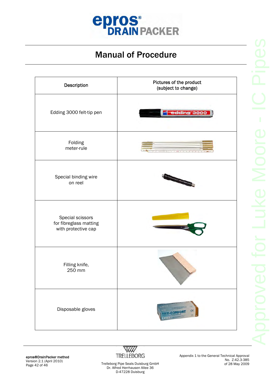

| Description                                                       | Pictures of the product<br>(subject to change) |
|-------------------------------------------------------------------|------------------------------------------------|
| Edding 3000 felt-tip pen                                          | edding 3000                                    |
| Folding<br>meter-rule                                             |                                                |
| Special binding wire<br>on reel                                   |                                                |
| Special scissors<br>for fibreglass matting<br>with protective cap |                                                |
| Filling knife,<br>250 mm                                          |                                                |
| Disposable gloves                                                 | $\zeta \in$<br><b>MED-COMFORT</b>              |



Appendix 1 to the General Technical Approval No. Z-42.3-385 of 28 May 2009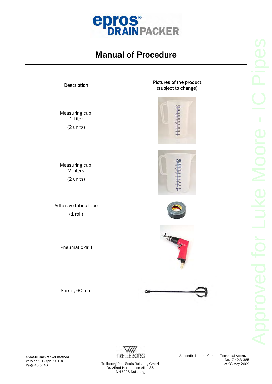

| Description                             | Pictures of the product<br>(subject to change) |
|-----------------------------------------|------------------------------------------------|
| Measuring cup,<br>1 Liter<br>(2 units)  |                                                |
| Measuring cup,<br>2 Liters<br>(2 units) |                                                |
| Adhesive fabric tape<br>$(1$ roll)      |                                                |
| Pneumatic drill                         |                                                |
| Stirrer, 60 mm                          |                                                |

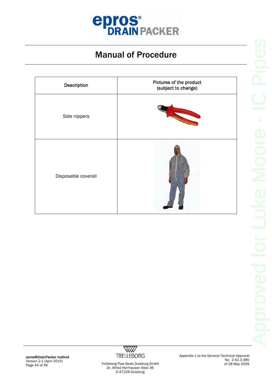

| Description         | Pictures of the product<br>(subject to change) |
|---------------------|------------------------------------------------|
| Side nippers        |                                                |
| Disposable coverall |                                                |

epros®DrainPacker method Version 2.1 (April 2010)



Appendix 1 to the General Technical Approval No. Z-42.3-385 of 28 May 2009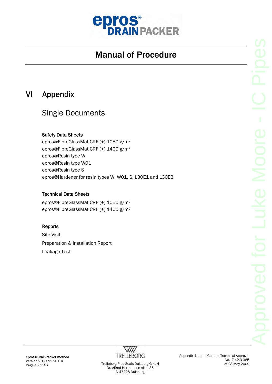

#### VI Appendix

#### Single Documents

#### Safety Data Sheets

epros®FibreGlassMat CRF (+) 1050 g/m² epros®FibreGlassMat CRF (+) 1400 g/m² epros®Resin type W epros®Resin type W01 epros®Resin type S epros®Hardener for resin types W, W01, S, L30E1 and L30E3

#### Technical Data Sheets

epros®FibreGlassMat CRF (+) 1050 g/m² epros®FibreGlassMat CRF (+) 1400 g/m²

#### Reports

Site Visit Preparation & Installation Report Leakage Test



Appendix 1 to the General Technical Approval No. Z-42.3-385 of 28 May 2009

epros®DrainPacker method Version 2.1 (April 2010)

version 2.1 (April 2010)<br>Page 45 of 46 Trelleborg Pipe Seals Duisburg GmbH Dr. Alfred Herrhausen Allee 36 D-47228 Duisburg